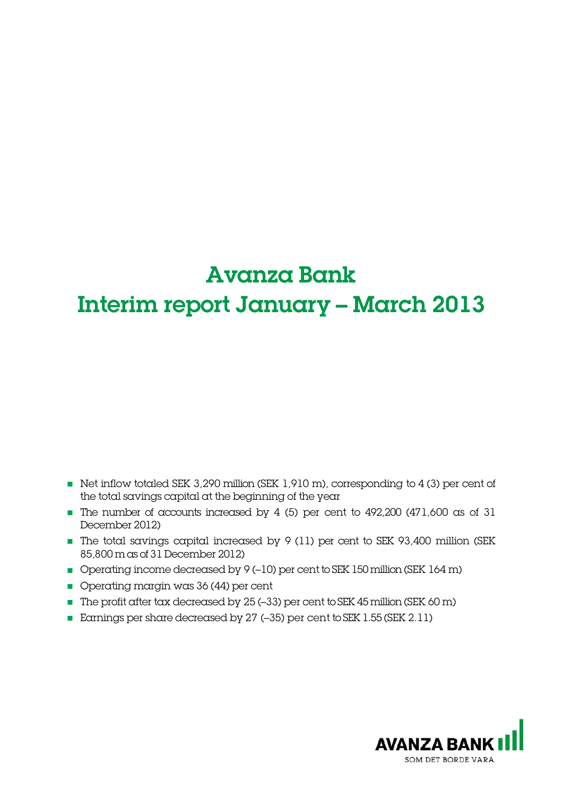# Avanza Bank Interim report January – March 2013

- Net inflow totaled SEK 3,290 million (SEK 1,910 m), corresponding to 4 (3) per cent of the total savings capital at the beginning of the year
- The number of accounts increased by 4 (5) per cent to 492,200 (471,600 as of 31 December 2012)
- The total savings capital increased by 9 (11) per cent to SEK 93,400 million (SEK 85,800 m as of 31 December 2012)
- Operating income decreased by 9 (-10) per cent to SEK 150 million (SEK 164 m)
- Operating margin was 36 (44) per cent
- The profit after tax decreased by 25 (–33) per cent to SEK 45million (SEK 60 m)
- Earnings per share decreased by 27 (-35) per cent to SEK 1.55 (SEK 2.11)

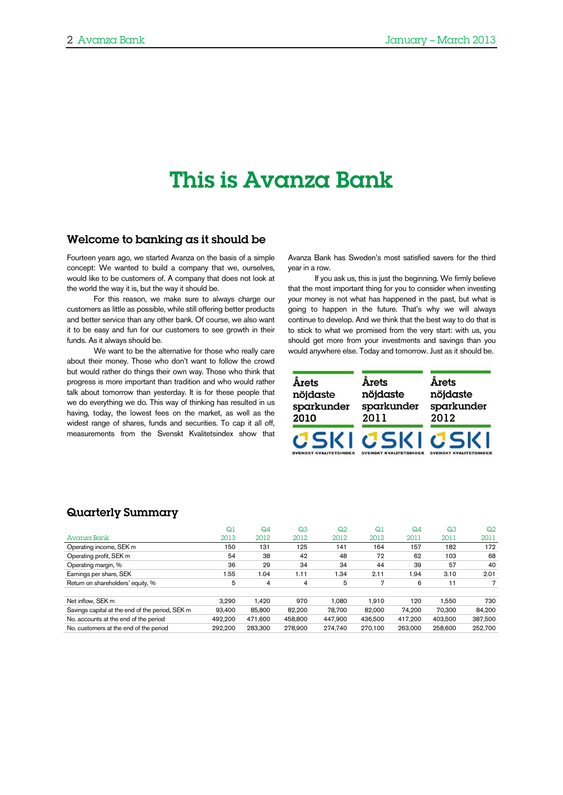# This is Avanza Bank

### Welcome to banking as it should be

Fourteen years ago, we started Avanza on the basis of a simple concept: We wanted to build a company that we, ourselves, would like to be customers of. A company that does not look at the world the way it is, but the way it should be.

For this reason, we make sure to always charge our customers as little as possible, while still offering better products and better service than any other bank. Of course, we also want it to be easy and fun for our customers to see growth in their funds. As it always should be.

We want to be the alternative for those who really care about their money. Those who don't want to follow the crowd but would rather do things their own way. Those who think that progress is more important than tradition and who would rather talk about tomorrow than yesterday. It is for these people that we do everything we do. This way of thinking has resulted in us having, today, the lowest fees on the market, as well as the widest range of shares, funds and securities. To cap it all off, measurements from the Svenskt Kvalitetsindex show that Avanza Bank has Sweden's most satisfied savers for the third year in a row.

If you ask us, this is just the beginning. We firmly believe that the most important thing for you to consider when investing your money is not what has happened in the past, but what is going to happen in the future. That's why we will always continue to develop. And we think that the best way to do that is to stick to what we promised from the very start: with us, you should get more from your investments and savings than you would anywhere else. Today and tomorrow. Just as it should be.

| Årets                         | Årets                         | Årets                         |
|-------------------------------|-------------------------------|-------------------------------|
| nöjdaste                      | nöjdaste                      | nöjdaste                      |
| sparkunder                    | sparkunder                    | sparkunder                    |
| 2010                          | 2011                          | 2012                          |
| CSKI                          | CSKI                          | CSKI                          |
| <b>SVENSKT KVALITETSINDEX</b> | <b>SVENSKT KVALITETSINDEX</b> | <b>SVENSKT KVALITETSINDEX</b> |

## Quarterly Summary

|                                                 | $Q_1$   | $Q_4$          | $\Omega$ 3 | Q <sub>2</sub> | Q <sub>1</sub> | $Q_4$   | $\Omega$ 3 | Q2      |
|-------------------------------------------------|---------|----------------|------------|----------------|----------------|---------|------------|---------|
| Avanza Bank                                     | 2013    | 2012           | 2012       | 2012           | 2012           | 2011    | 2011       | 2011    |
| Operating income, SEK m                         | 150     | 131            | 125        | 141            | 164            | 157     | 182        | 172     |
| Operating profit, SEK m                         | 54      | 38             | 42         | 48             | 72             | 62      | 103        | 68      |
| Operating margin, %                             | 36      | 29             | 34         | 34             | 44             | 39      | 57         | 40      |
| Earnings per share, SEK                         | 1.55    | 1.04           | 1.11       | 1.34           | 2.11           | 1.94    | 3.10       | 2.01    |
| Return on shareholders' equity, %               | 5       | $\overline{4}$ | 4          | 5              | 7              | 6       | 11         | 7       |
|                                                 |         |                |            |                |                |         |            |         |
| Net inflow, SEK m                               | 3.290   | 1.420          | 970        | 1.080          | 1.910          | 120     | 1.550      | 730     |
| Savings capital at the end of the period, SEK m | 93.400  | 85,800         | 82.200     | 78.700         | 82.000         | 74.200  | 70.300     | 84.200  |
| No. accounts at the end of the period           | 492.200 | 471.600        | 458,800    | 447,900        | 436,500        | 417.200 | 403.500    | 387,500 |
| No. customers at the end of the period          | 292.200 | 283.300        | 278,900    | 274.740        | 270,100        | 263,000 | 258,600    | 252,700 |
|                                                 |         |                |            |                |                |         |            |         |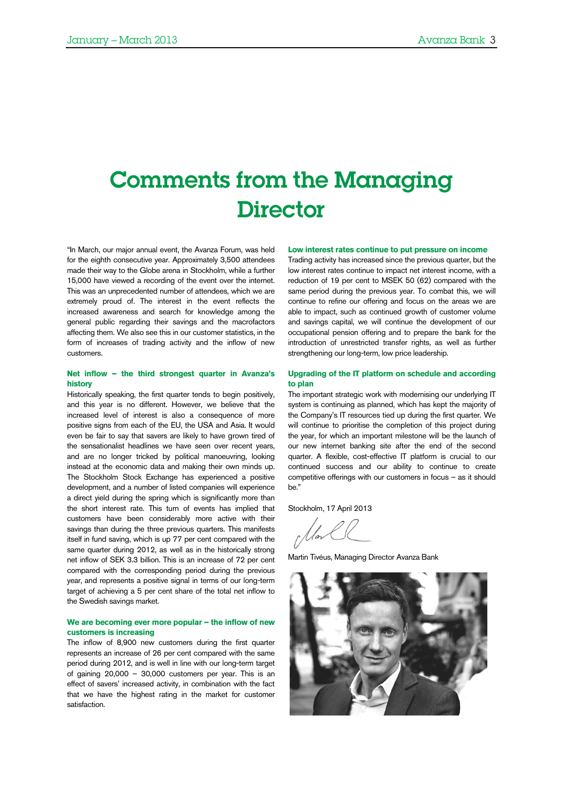# Comments from the Managing **Director**

"In March, our major annual event, the Avanza Forum, was held for the eighth consecutive year. Approximately 3,500 attendees made their way to the Globe arena in Stockholm, while a further 15,000 have viewed a recording of the event over the internet. This was an unprecedented number of attendees, which we are extremely proud of. The interest in the event reflects the increased awareness and search for knowledge among the general public regarding their savings and the macrofactors affecting them. We also see this in our customer statistics, in the form of increases of trading activity and the inflow of new customers.

#### **Net inflow – the third strongest quarter in Avanza's history**

Historically speaking, the first quarter tends to begin positively, and this year is no different. However, we believe that the increased level of interest is also a consequence of more positive signs from each of the EU, the USA and Asia. It would even be fair to say that savers are likely to have grown tired of the sensationalist headlines we have seen over recent years, and are no longer tricked by political manoeuvring, looking instead at the economic data and making their own minds up. The Stockholm Stock Exchange has experienced a positive development, and a number of listed companies will experience a direct yield during the spring which is significantly more than the short interest rate. This turn of events has implied that customers have been considerably more active with their savings than during the three previous quarters. This manifests itself in fund saving, which is up 77 per cent compared with the same quarter during 2012, as well as in the historically strong net inflow of SEK 3.3 billion. This is an increase of 72 per cent compared with the corresponding period during the previous year, and represents a positive signal in terms of our long-term target of achieving a 5 per cent share of the total net inflow to the Swedish savings market.

#### **We are becoming ever more popular – the inflow of new customers is increasing**

The inflow of 8,900 new customers during the first quarter represents an increase of 26 per cent compared with the same period during 2012, and is well in line with our long-term target of gaining 20,000 – 30,000 customers per year. This is an effect of savers' increased activity, in combination with the fact that we have the highest rating in the market for customer satisfaction.

#### **Low interest rates continue to put pressure on income**

Trading activity has increased since the previous quarter, but the low interest rates continue to impact net interest income, with a reduction of 19 per cent to MSEK 50 (62) compared with the same period during the previous year. To combat this, we will continue to refine our offering and focus on the areas we are able to impact, such as continued growth of customer volume and savings capital, we will continue the development of our occupational pension offering and to prepare the bank for the introduction of unrestricted transfer rights, as well as further strengthening our long-term, low price leadership.

#### **Upgrading of the IT platform on schedule and according to plan**

The important strategic work with modernising our underlying IT system is continuing as planned, which has kept the majority of the Company's IT resources tied up during the first quarter. We will continue to prioritise the completion of this project during the year, for which an important milestone will be the launch of our new internet banking site after the end of the second quarter. A flexible, cost-effective IT platform is crucial to our continued success and our ability to continue to create competitive offerings with our customers in focus – as it should be."

Stockholm, 17 April 2013

Martin Tivéus, Managing Director Avanza Bank

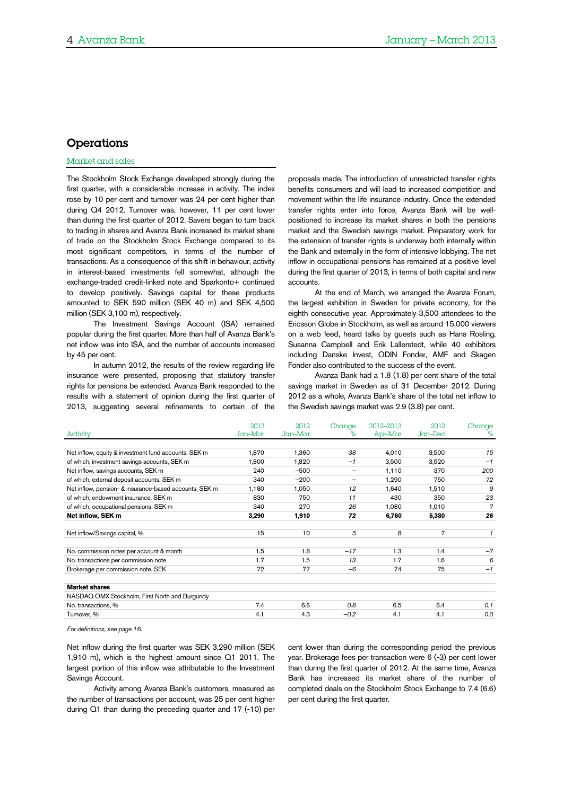## Operations

#### Market and sales

The Stockholm Stock Exchange developed strongly during the first quarter, with a considerable increase in activity. The index rose by 10 per cent and turnover was 24 per cent higher than during Q4 2012. Turnover was, however, 11 per cent lower than during the first quarter of 2012. Savers began to turn back to trading in shares and Avanza Bank increased its market share of trade on the Stockholm Stock Exchange compared to its most significant competitors, in terms of the number of transactions. As a consequence of this shift in behaviour, activity in interest-based investments fell somewhat, although the exchange-traded credit-linked note and Sparkonto+ continued to develop positively. Savings capital for these products amounted to SEK 590 million (SEK 40 m) and SEK 4,500 million (SEK 3,100 m), respectively.

The Investment Savings Account (ISA) remained popular during the first quarter. More than half of Avanza Bank's net inflow was into ISA, and the number of accounts increased by 45 per cent.

In autumn 2012, the results of the review regarding life insurance were presented, proposing that statutory transfer rights for pensions be extended. Avanza Bank responded to the results with a statement of opinion during the first quarter of 2013, suggesting several refinements to certain of the

proposals made. The introduction of unrestricted transfer rights benefits consumers and will lead to increased competition and movement within the life insurance industry. Once the extended transfer rights enter into force, Avanza Bank will be wellpositioned to increase its market shares in both the pensions market and the Swedish savings market. Preparatory work for the extension of transfer rights is underway both internally within the Bank and externally in the form of intensive lobbying. The net inflow in occupational pensions has remained at a positive level during the first quarter of 2013, in terms of both capital and new accounts.

At the end of March, we arranged the Avanza Forum, the largest exhibition in Sweden for private economy, for the eighth consecutive year. Approximately 3,500 attendees to the Ericsson Globe in Stockholm, as well as around 15,000 viewers on a web feed, heard talks by guests such as Hans Rosling, Susanna Campbell and Erik Lallerstedt, while 40 exhibitors including Danske Invest, ODIN Fonder, AMF and Skagen Fonder also contributed to the success of the event.

Avanza Bank had a 1.8 (1.8) per cent share of the total savings market in Sweden as of 31 December 2012. During 2012 as a whole, Avanza Bank's share of the total net inflow to the Swedish savings market was 2.9 (3.8) per cent.

|                                                        | 2013    | 2012    | Change                   | 2012-2013 | 2012    | Change |
|--------------------------------------------------------|---------|---------|--------------------------|-----------|---------|--------|
| Activity                                               | Jan-Mar | Jan-Mar | ℅                        | Apr-Mar   | Jan-Dec | %      |
|                                                        |         |         |                          |           |         |        |
| Net inflow, equity & investment fund accounts, SEK m   | 1,870   | 1,360   | 38                       | 4,010     | 3,500   | 15     |
| of which, investment savings accounts, SEK m           | 1,800   | 1,820   | $-1$                     | 3,500     | 3,520   | $-1$   |
| Net inflow, savings accounts, SEK m                    | 240     | $-500$  | $\overline{\phantom{m}}$ | 1,110     | 370     | 200    |
| of which, external deposit accounts, SEK m             | 340     | $-200$  | $\qquad \qquad -$        | 1,290     | 750     | 72     |
| Net inflow, pension- & insurance-based accounts, SEK m | 1,180   | 1,050   | 12                       | 1,640     | 1,510   | 9      |
| of which, endowment insurance, SEK m                   | 830     | 750     | 11                       | 430       | 350     | 23     |
| of which, occupational pensions, SEK m                 | 340     | 270     | 26                       | 1,080     | 1,010   | 7      |
| Net inflow, SEK m                                      | 3,290   | 1,910   | 72                       | 6,760     | 5,380   | 26     |
|                                                        |         |         |                          |           |         |        |
| Net inflow/Savings capital, %                          | 15      | 10      | 5                        | 8         | 7       | 1      |
|                                                        |         |         |                          |           |         |        |
| No. commission notes per account & month               | 1.5     | 1.8     | $-17$                    | 1.3       | 1.4     | $-7$   |
| No. transactions per commission note                   | 1.7     | 1.5     | 13                       | 1.7       | 1.6     | 6      |
| Brokerage per commission note, SEK                     | 72      | 77      | $-6$                     | 74        | 75      | $-1$   |
|                                                        |         |         |                          |           |         |        |
| <b>Market shares</b>                                   |         |         |                          |           |         |        |
| NASDAQ OMX Stockholm, First North and Burgundy         |         |         |                          |           |         |        |
| No. transactions, %                                    | 7.4     | 6.6     | 0.8                      | 6.5       | 6.4     | 0.1    |
| Turnover, %                                            | 4.1     | 4.3     | $-0.2$                   | 4.1       | 4.1     | 0.0    |

*For definitions, see page [16.](#page-15-0)*

Net inflow during the first quarter was SEK 3,290 million (SEK 1,910 m), which is the highest amount since Q1 2011. The largest portion of this inflow was attributable to the Investment Savings Account.

Activity among Avanza Bank's customers, measured as the number of transactions per account, was 25 per cent higher during Q1 than during the preceding quarter and 17 (-10) per cent lower than during the corresponding period the previous year. Brokerage fees per transaction were 6 (-3) per cent lower than during the first quarter of 2012. At the same time, Avanza Bank has increased its market share of the number of completed deals on the Stockholm Stock Exchange to 7.4 (6.6) per cent during the first quarter.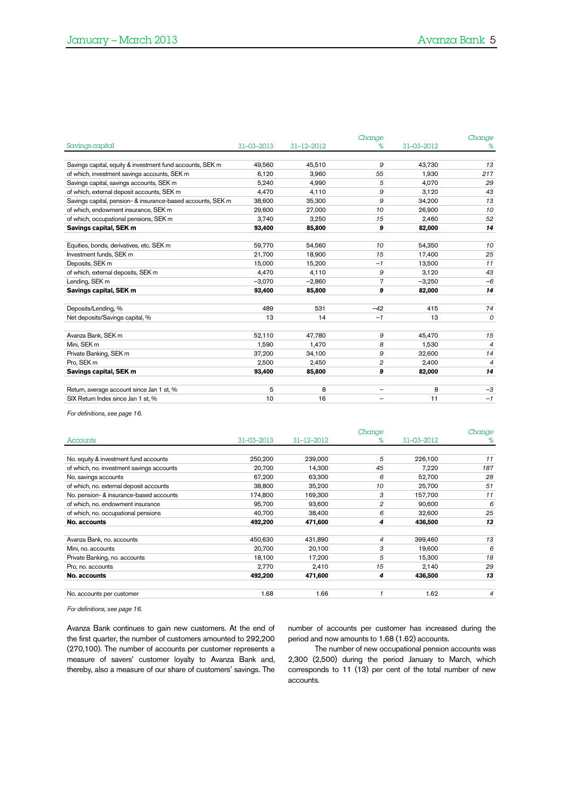|                                                             |                  |            | Change         |            | Change         |
|-------------------------------------------------------------|------------------|------------|----------------|------------|----------------|
| Savings capital                                             | $31 - 03 - 2013$ | 31-12-2012 | %              | 31-03-2012 | %              |
|                                                             |                  |            |                |            |                |
| Savings capital, equity & investment fund accounts, SEK m   | 49,560           | 45,510     | 9              | 43,730     | 13             |
| of which, investment savings accounts, SEK m                | 6,120            | 3,960      | 55             | 1,930      | 217            |
| Savings capital, savings accounts, SEK m                    | 5,240            | 4,990      | 5              | 4,070      | 29             |
| of which, external deposit accounts, SEK m                  | 4,470            | 4,110      | 9              | 3,120      | 43             |
| Savings capital, pension- & insurance-based accounts, SEK m | 38,600           | 35,300     | 9              | 34,200     | 13             |
| of which, endowment insurance, SEK m                        | 29,600           | 27,000     | 10             | 26,900     | 10             |
| of which, occupational pensions, SEK m                      | 3,740            | 3,250      | 15             | 2,460      | 52             |
| Savings capital, SEK m                                      | 93,400           | 85,800     | 9              | 82,000     | 14             |
|                                                             |                  |            |                |            |                |
| Equities, bonds, derivatives, etc. SEK m                    | 59,770           | 54,560     | 10             | 54,350     | 10             |
| Investment funds. SEK m                                     | 21,700           | 18,900     | 15             | 17,400     | 25             |
| Deposits, SEK m                                             | 15,000           | 15,200     | $-1$           | 13,500     | 11             |
| of which, external deposits, SEK m                          | 4,470            | 4,110      | 9              | 3,120      | 43             |
| Lending, SEK m                                              | $-3,070$         | $-2,860$   | $\overline{7}$ | $-3,250$   | $-6$           |
| Savings capital, SEK m                                      | 93,400           | 85,800     | 9              | 82,000     | 14             |
|                                                             |                  |            |                |            |                |
| Deposits/Lending, %                                         | 489              | 531        | $-42$          | 415        | 74             |
| Net deposits/Savings capital, %                             | 13               | 14         | $-1$           | 13         | $\overline{O}$ |
|                                                             |                  |            |                |            |                |
| Avanza Bank, SEK m                                          | 52,110           | 47,780     | 9              | 45,470     | 15             |
| Mini, SEK m                                                 | 1.590            | 1,470      | 8              | 1,530      | 4              |
| Private Banking, SEK m                                      | 37,200           | 34,100     | 9              | 32,600     | 14             |
| Pro, SEK m                                                  | 2,500            | 2.450      | $\overline{2}$ | 2,400      | $\overline{4}$ |
| Savings capital, SEK m                                      | 93,400           | 85,800     | 9              | 82,000     | 14             |
|                                                             |                  |            |                |            |                |
| Return, average account since Jan 1 st, %                   | 5                | 8          |                | 8          | $-3$           |
| SIX Return Index since Jan 1 st, %                          | 10               | 16         |                | 11         | $-1$           |

*For definitions, see pag[e 16.](#page-15-0)*

|                                           |                  |                  | Change |            | Change |
|-------------------------------------------|------------------|------------------|--------|------------|--------|
| Accounts                                  | $31 - 03 - 2013$ | $31 - 12 - 2012$ | %      | 31-03-2012 | %      |
|                                           |                  |                  |        |            |        |
| No. equity & investment fund accounts     | 250,200          | 239,000          | 5      | 226,100    | 11     |
| of which, no. investment savings accounts | 20,700           | 14.300           | 45     | 7,220      | 187    |
| No. savings accounts                      | 67,200           | 63.300           | 6      | 52,700     | 28     |
| of which, no. external deposit accounts   | 38,800           | 35,200           | 10     | 25,700     | 51     |
| No. pension- & insurance-based accounts   | 174,800          | 169,300          | 3      | 157,700    | 11     |
| of which, no. endowment insurance         | 95,700           | 93,600           | 2      | 90,600     | 6      |
| of which, no. occupational pensions       | 40,700           | 38,400           | 6      | 32,600     | 25     |
| No. accounts                              | 492,200          | 471.600          | 4      | 436,500    | 13     |
|                                           |                  |                  |        |            |        |
| Avanza Bank, no. accounts                 | 450,630          | 431,890          | 4      | 399,460    | 13     |
| Mini, no. accounts                        | 20,700           | 20,100           | 3      | 19,600     | 6      |
| Private Banking, no. accounts             | 18,100           | 17,200           | 5      | 15,300     | 18     |
| Pro, no. accounts                         | 2.770            | 2,410            | 15     | 2,140      | 29     |
| No. accounts                              | 492,200          | 471,600          | 4      | 436,500    | 13     |
|                                           |                  |                  |        |            |        |
| No. accounts per customer                 | 1.68             | 1.66             |        | 1.62       | 4      |
|                                           |                  |                  |        |            |        |

*For definitions, see pag[e 16.](#page-15-0)*

Avanza Bank continues to gain new customers. At the end of the first quarter, the number of customers amounted to 292,200 (270,100). The number of accounts per customer represents a measure of savers' customer loyalty to Avanza Bank and, thereby, also a measure of our share of customers' savings. The

number of accounts per customer has increased during the period and now amounts to 1.68 (1.62) accounts.

The number of new occupational pension accounts was 2,300 (2,500) during the period January to March, which corresponds to 11 (13) per cent of the total number of new accounts.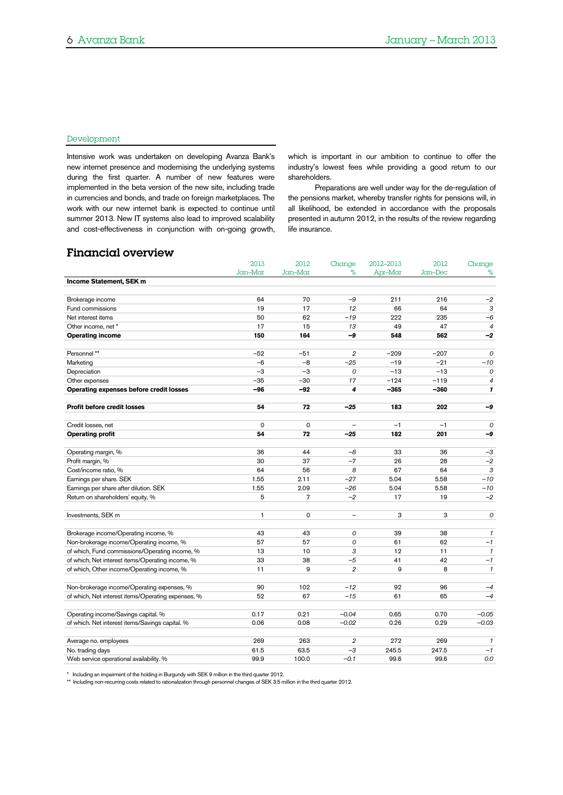#### Development

Intensive work was undertaken on developing Avanza Bank's new internet presence and modernising the underlying systems during the first quarter. A number of new features were implemented in the beta version of the new site, including trade in currencies and bonds, and trade on foreign marketplaces. The work with our new internet bank is expected to continue until summer 2013. New IT systems also lead to improved scalability and cost-effectiveness in conjunction with on-going growth,

which is important in our ambition to continue to offer the industry's lowest fees while providing a good return to our shareholders.

Preparations are well under way for the de-regulation of the pensions market, whereby transfer rights for pensions will, in all likelihood, be extended in accordance with the proposals presented in autumn 2012, in the results of the review regarding life insurance.

## Financial overview

| %<br>Jan-Mar<br>Jan-Mar<br>Apr-Mar<br>Jan-Dec<br>Income Statement, SEK m<br>64<br>$-9$<br>Brokerage income<br>70<br>211<br>216<br>19<br>17<br>12<br>66<br>64<br><b>Fund commissions</b><br>50<br>$-19$<br>222<br>235<br>Net interest items<br>62<br>17<br>47<br>15<br>13<br>49<br>Other income, net *<br>150<br><b>Operating income</b><br>164<br>-9<br>548<br>562<br>Personnel**<br>$-52$<br>$\overline{2}$<br>$-209$<br>$-207$<br>$-51$<br>Marketing<br>$-8$<br>$-25$<br>$-19$<br>$-21$<br>$-6$ | Change                |
|---------------------------------------------------------------------------------------------------------------------------------------------------------------------------------------------------------------------------------------------------------------------------------------------------------------------------------------------------------------------------------------------------------------------------------------------------------------------------------------------------|-----------------------|
|                                                                                                                                                                                                                                                                                                                                                                                                                                                                                                   | $\%$                  |
|                                                                                                                                                                                                                                                                                                                                                                                                                                                                                                   |                       |
|                                                                                                                                                                                                                                                                                                                                                                                                                                                                                                   | $-2$                  |
|                                                                                                                                                                                                                                                                                                                                                                                                                                                                                                   | 3                     |
|                                                                                                                                                                                                                                                                                                                                                                                                                                                                                                   | $-6$                  |
|                                                                                                                                                                                                                                                                                                                                                                                                                                                                                                   | $\overline{4}$        |
|                                                                                                                                                                                                                                                                                                                                                                                                                                                                                                   | -2                    |
|                                                                                                                                                                                                                                                                                                                                                                                                                                                                                                   | $\mathcal{O}$         |
|                                                                                                                                                                                                                                                                                                                                                                                                                                                                                                   | $-10$                 |
| $-3$<br>$-3$<br>$-13$<br>$-13$<br>Depreciation<br>0                                                                                                                                                                                                                                                                                                                                                                                                                                               | 0                     |
| $-35$<br>$-30$<br>17<br>$-124$<br>$-119$<br>Other expenses                                                                                                                                                                                                                                                                                                                                                                                                                                        | $\boldsymbol{4}$      |
| Operating expenses before credit losses<br>$-96$<br>$-92$<br>4<br>$-365$<br>$-360$                                                                                                                                                                                                                                                                                                                                                                                                                | $\mathbf{1}$          |
| <b>Profit before credit losses</b><br>54<br>72<br>$-25$<br>183<br>202                                                                                                                                                                                                                                                                                                                                                                                                                             | -9                    |
| $\Omega$<br>$\mathbf 0$<br>$-1$<br>Credit losses, net<br>$-1$                                                                                                                                                                                                                                                                                                                                                                                                                                     | $\mathcal{O}$         |
| 182<br>201<br><b>Operating profit</b><br>54<br>72<br>$-25$                                                                                                                                                                                                                                                                                                                                                                                                                                        | -9                    |
|                                                                                                                                                                                                                                                                                                                                                                                                                                                                                                   |                       |
| 36<br>33<br>36<br>Operating margin, %<br>44<br>$-8$                                                                                                                                                                                                                                                                                                                                                                                                                                               | $-3$                  |
| Profit margin, %<br>30<br>37<br>$-7$<br>26<br>28                                                                                                                                                                                                                                                                                                                                                                                                                                                  | $-2$                  |
| Cost/income ratio, %<br>64<br>56<br>67<br>64<br>8                                                                                                                                                                                                                                                                                                                                                                                                                                                 | 3                     |
| 5.58<br>1.55<br>2.11<br>$-27$<br>5.04<br>Earnings per share. SEK                                                                                                                                                                                                                                                                                                                                                                                                                                  | $-10$                 |
| $-26$<br>5.04<br>5.58<br>Earnings per share after dilution. SEK<br>1.55<br>2.09                                                                                                                                                                                                                                                                                                                                                                                                                   | $-10$                 |
| 5<br>Return on shareholders' equity, %<br>7<br>$-2$<br>17<br>19                                                                                                                                                                                                                                                                                                                                                                                                                                   | $-2$                  |
| Investments, SEK m<br>$\mathbf{1}$<br>0<br>3<br>3<br>$\overline{\phantom{0}}$                                                                                                                                                                                                                                                                                                                                                                                                                     | $\mathcal{O}$         |
| 43<br>38<br>Brokerage income/Operating income, %<br>43<br>0<br>39                                                                                                                                                                                                                                                                                                                                                                                                                                 | $\mathcal I$          |
| 57<br>62<br>Non-brokerage income/Operating income, %<br>57<br>0<br>61                                                                                                                                                                                                                                                                                                                                                                                                                             | $-1$                  |
| of which, Fund commissions/Operating income, %<br>13<br>10<br>3<br>12<br>11                                                                                                                                                                                                                                                                                                                                                                                                                       | $\mathbf{1}$          |
| 33<br>$-5$<br>42<br>of which, Net interest items/Operating income, %<br>38<br>41                                                                                                                                                                                                                                                                                                                                                                                                                  | $-1$                  |
| of which, Other income/Operating income, %<br>9<br>$\overline{2}$<br>9<br>8<br>11                                                                                                                                                                                                                                                                                                                                                                                                                 | $\mathbf{1}$          |
| $-12$<br>92<br>Non-brokerage income/Operating expenses, %<br>90<br>102<br>96                                                                                                                                                                                                                                                                                                                                                                                                                      |                       |
| of which, Net interest items/Operating expenses, %<br>52<br>67<br>$-15$<br>61<br>65                                                                                                                                                                                                                                                                                                                                                                                                               | $-4$                  |
| Operating income/Savings capital. %<br>0.17<br>0.21<br>$-0.04$<br>0.65<br>0.70                                                                                                                                                                                                                                                                                                                                                                                                                    | $-4$                  |
| of which. Net interest items/Savings capital. %<br>$-0.02$<br>0.06<br>0.08<br>0.26<br>0.29                                                                                                                                                                                                                                                                                                                                                                                                        |                       |
| 263<br>272<br>269<br>269<br>2                                                                                                                                                                                                                                                                                                                                                                                                                                                                     | $-0.05$<br>$-0.03$    |
| Average no. employees<br>$-3$<br>No. trading days<br>61.5<br>63.5<br>245.5<br>247.5                                                                                                                                                                                                                                                                                                                                                                                                               |                       |
| Web service operational availability. %<br>99.9<br>100.0<br>$-0.1$<br>99.6<br>99.6<br>0.0                                                                                                                                                                                                                                                                                                                                                                                                         | $\mathcal{I}$<br>$-1$ |

\* Including an impairment of the holding in Burgundy with SEK 9 million in the third quarter 2012.<br>\*\* Including non-recurring costs related to rationalization through personnel changes of SEK 3.5 million in the third quart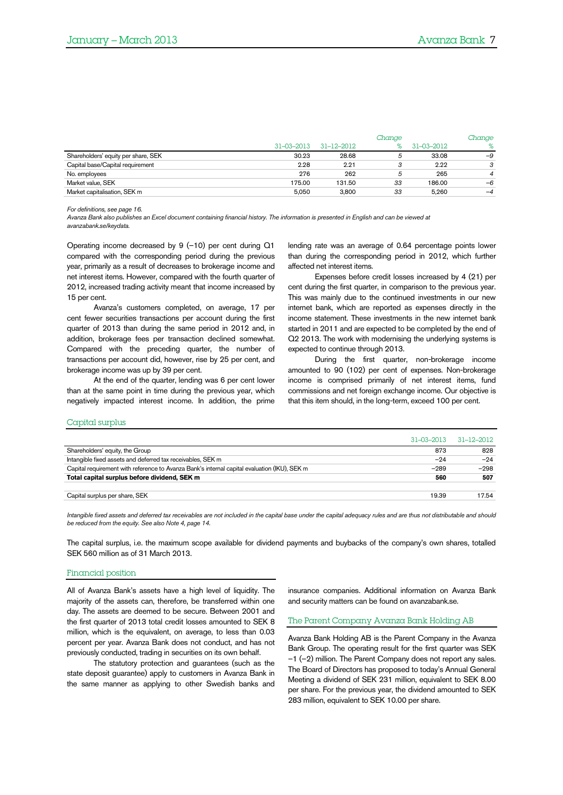|                                     |                  |                  | Change |            | Change         |
|-------------------------------------|------------------|------------------|--------|------------|----------------|
|                                     | $31 - 03 - 2013$ | $31 - 12 - 2012$ |        | 31-03-2012 | %              |
| Shareholders' equity per share, SEK | 30.23            | 28.68            | 5      | 33.08      | $-9$           |
| Capital base/Capital requirement    | 2.28             | 2.21             | 0      | 2.22       | 3              |
| No. employees                       | 276              | 262              | 5      | 265        | $\overline{4}$ |
| Market value, SEK                   | 175.00           | 131.50           | 33     | 186.00     | $-6$           |
| Market capitalisation, SEK m        | 5.050            | 3.800            | 33     | 5.260      | $-4$           |

*For definitions, see pag[e 16.](#page-15-0)*

*Avanza Bank also publishes an Excel document containing financial history. The information is presented in English and can be viewed at avanzabank.se/keydata.*

Operating income decreased by 9 (–10) per cent during Q1 compared with the corresponding period during the previous year, primarily as a result of decreases to brokerage income and net interest items. However, compared with the fourth quarter of 2012, increased trading activity meant that income increased by 15 per cent.

Avanza's customers completed, on average, 17 per cent fewer securities transactions per account during the first quarter of 2013 than during the same period in 2012 and, in addition, brokerage fees per transaction declined somewhat. Compared with the preceding quarter, the number of transactions per account did, however, rise by 25 per cent, and brokerage income was up by 39 per cent.

At the end of the quarter, lending was 6 per cent lower than at the same point in time during the previous year, which negatively impacted interest income. In addition, the prime lending rate was an average of 0.64 percentage points lower than during the corresponding period in 2012, which further affected net interest items.

Expenses before credit losses increased by 4 (21) per cent during the first quarter, in comparison to the previous year. This was mainly due to the continued investments in our new internet bank, which are reported as expenses directly in the income statement. These investments in the new internet bank started in 2011 and are expected to be completed by the end of Q2 2013. The work with modernising the underlying systems is expected to continue through 2013.

During the first quarter, non-brokerage income amounted to 90 (102) per cent of expenses. Non-brokerage income is comprised primarily of net interest items, fund commissions and net foreign exchange income. Our objective is that this item should, in the long-term, exceed 100 per cent.

#### Capital surplus

| 31–03–2013                                                                                             | 31–12–2012 |
|--------------------------------------------------------------------------------------------------------|------------|
| Shareholders' equity, the Group<br>873                                                                 | 828        |
| Intangible fixed assets and deferred tax receivables, SEK m<br>$-24$                                   | $-24$      |
| Capital requirement with reference to Avanza Bank's internal capital evaluation (IKU), SEK m<br>$-289$ | $-298$     |
| Total capital surplus before dividend, SEK m<br>560                                                    | 507        |
|                                                                                                        |            |
| Capital surplus per share, SEK<br>19.39                                                                | 17.54      |

*Intangible fixed assets and deferred tax receivables are not included in the capital base under the capital adequacy rules and are thus not distributable and should be reduced from the equity. See also Note 4, page [14.](#page-13-0)*

The capital surplus, i.e. the maximum scope available for dividend payments and buybacks of the company's own shares, totalled SEK 560 million as of 31 March 2013.

#### Financial position

All of Avanza Bank's assets have a high level of liquidity. The majority of the assets can, therefore, be transferred within one day. The assets are deemed to be secure. Between 2001 and the first quarter of 2013 total credit losses amounted to SEK 8 million, which is the equivalent, on average, to less than 0.03 percent per year. Avanza Bank does not conduct, and has not previously conducted, trading in securities on its own behalf.

The statutory protection and guarantees (such as the state deposit guarantee) apply to customers in Avanza Bank in the same manner as applying to other Swedish banks and

insurance companies. Additional information on Avanza Bank and security matters can be found on avanzabank.se.

#### The Parent Company Avanza Bank Holding AB

Avanza Bank Holding AB is the Parent Company in the Avanza Bank Group. The operating result for the first quarter was SEK –1 (–2) million. The Parent Company does not report any sales. The Board of Directors has proposed to today's Annual General Meeting a dividend of SEK 231 million, equivalent to SEK 8.00 per share. For the previous year, the dividend amounted to SEK 283 million, equivalent to SEK 10.00 per share.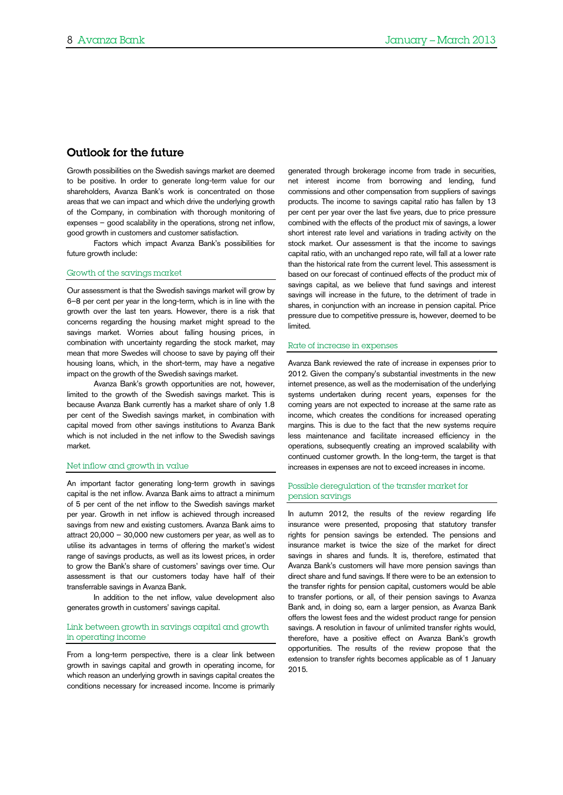### Outlook for the future

Growth possibilities on the Swedish savings market are deemed to be positive. In order to generate long-term value for our shareholders, Avanza Bank's work is concentrated on those areas that we can impact and which drive the underlying growth of the Company, in combination with thorough monitoring of expenses – good scalability in the operations, strong net inflow, good growth in customers and customer satisfaction.

Factors which impact Avanza Bank's possibilities for future growth include:

#### Growth of the savings market

Our assessment is that the Swedish savings market will grow by 6–8 per cent per year in the long-term, which is in line with the growth over the last ten years. However, there is a risk that concerns regarding the housing market might spread to the savings market. Worries about falling housing prices, in combination with uncertainty regarding the stock market, may mean that more Swedes will choose to save by paying off their housing loans, which, in the short-term, may have a negative impact on the growth of the Swedish savings market.

Avanza Bank's growth opportunities are not, however, limited to the growth of the Swedish savings market. This is because Avanza Bank currently has a market share of only 1.8 per cent of the Swedish savings market, in combination with capital moved from other savings institutions to Avanza Bank which is not included in the net inflow to the Swedish savings market.

#### Net inflow and growth in value

An important factor generating long-term growth in savings capital is the net inflow. Avanza Bank aims to attract a minimum of 5 per cent of the net inflow to the Swedish savings market per year. Growth in net inflow is achieved through increased savings from new and existing customers. Avanza Bank aims to attract 20,000 – 30,000 new customers per year, as well as to utilise its advantages in terms of offering the market's widest range of savings products, as well as its lowest prices, in order to grow the Bank's share of customers' savings over time. Our assessment is that our customers today have half of their transferrable savings in Avanza Bank.

In addition to the net inflow, value development also generates growth in customers' savings capital.

#### Link between growth in savings capital and growth in operating income

From a long-term perspective, there is a clear link between growth in savings capital and growth in operating income, for which reason an underlying growth in savings capital creates the conditions necessary for increased income. Income is primarily

generated through brokerage income from trade in securities, net interest income from borrowing and lending, fund commissions and other compensation from suppliers of savings products. The income to savings capital ratio has fallen by 13 per cent per year over the last five years, due to price pressure combined with the effects of the product mix of savings, a lower short interest rate level and variations in trading activity on the stock market. Our assessment is that the income to savings capital ratio, with an unchanged repo rate, will fall at a lower rate than the historical rate from the current level. This assessment is based on our forecast of continued effects of the product mix of savings capital, as we believe that fund savings and interest savings will increase in the future, to the detriment of trade in shares, in conjunction with an increase in pension capital. Price pressure due to competitive pressure is, however, deemed to be limited.

#### Rate of increase in expenses

Avanza Bank reviewed the rate of increase in expenses prior to 2012. Given the company's substantial investments in the new internet presence, as well as the modernisation of the underlying systems undertaken during recent years, expenses for the coming years are not expected to increase at the same rate as income, which creates the conditions for increased operating margins. This is due to the fact that the new systems require less maintenance and facilitate increased efficiency in the operations, subsequently creating an improved scalability with continued customer growth. In the long-term, the target is that increases in expenses are not to exceed increases in income.

#### Possible deregulation of the transfer market for pension savings

In autumn 2012, the results of the review regarding life insurance were presented, proposing that statutory transfer rights for pension savings be extended. The pensions and insurance market is twice the size of the market for direct savings in shares and funds. It is, therefore, estimated that Avanza Bank's customers will have more pension savings than direct share and fund savings. If there were to be an extension to the transfer rights for pension capital, customers would be able to transfer portions, or all, of their pension savings to Avanza Bank and, in doing so, earn a larger pension, as Avanza Bank offers the lowest fees and the widest product range for pension savings. A resolution in favour of unlimited transfer rights would, therefore, have a positive effect on Avanza Bank's growth opportunities. The results of the review propose that the extension to transfer rights becomes applicable as of 1 January 2015.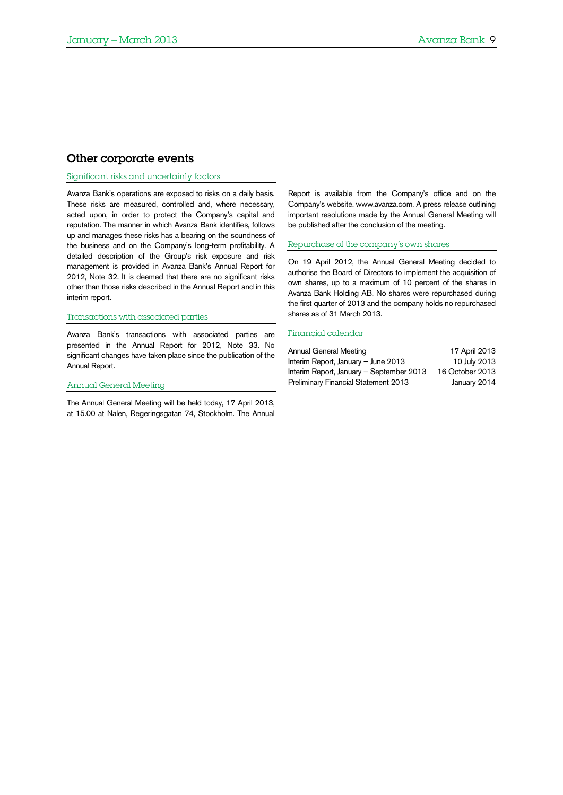## Other corporate events

#### Significant risks and uncertainly factors

Avanza Bank's operations are exposed to risks on a daily basis. These risks are measured, controlled and, where necessary, acted upon, in order to protect the Company's capital and reputation. The manner in which Avanza Bank identifies, follows up and manages these risks has a bearing on the soundness of the business and on the Company's long-term profitability. A detailed description of the Group's risk exposure and risk management is provided in Avanza Bank's Annual Report for 2012, Note 32. It is deemed that there are no significant risks other than those risks described in the Annual Report and in this interim report.

#### Transactions with associated parties

Avanza Bank's transactions with associated parties are presented in the Annual Report for 2012, Note 33. No significant changes have taken place since the publication of the Annual Report.

#### Annual General Meeting

The Annual General Meeting will be held today, 17 April 2013, at 15.00 at Nalen, Regeringsgatan 74, Stockholm. The Annual Report is available from the Company's office and on the Company's website, www.avanza.com. A press release outlining important resolutions made by the Annual General Meeting will be published after the conclusion of the meeting.

#### Repurchase of the company's own shares

On 19 April 2012, the Annual General Meeting decided to authorise the Board of Directors to implement the acquisition of own shares, up to a maximum of 10 percent of the shares in Avanza Bank Holding AB. No shares were repurchased during the first quarter of 2013 and the company holds no repurchased shares as of 31 March 2013.

#### Financial calendar

| Annual General Meeting                   | 17 April 2013   |
|------------------------------------------|-----------------|
| Interim Report, January - June 2013      | 10 July 2013    |
| Interim Report, January - September 2013 | 16 October 2013 |
| Preliminary Financial Statement 2013     | January 2014    |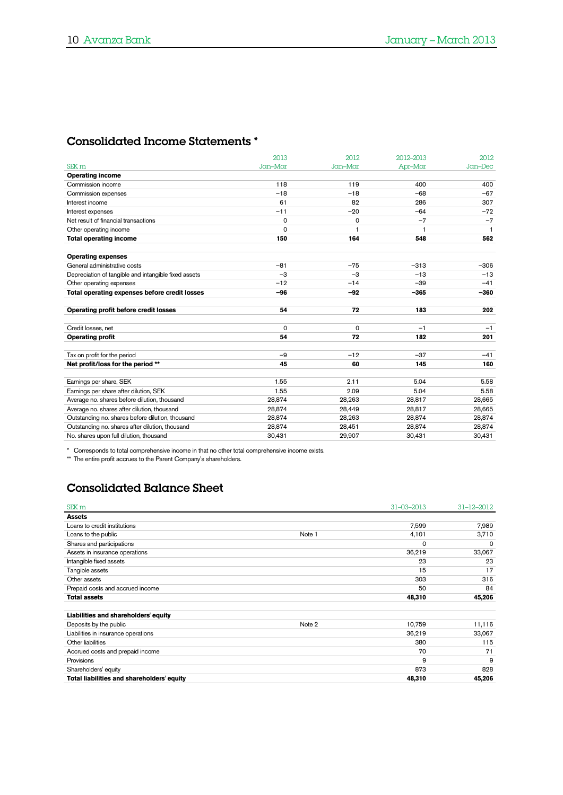# Consolidated Income Statements \*

|                                                      | 2013    | 2012     | 2012-2013 | 2012         |
|------------------------------------------------------|---------|----------|-----------|--------------|
| SEK <sub>m</sub>                                     | Jan-Mar | Jan-Mar  | Apr-Mar   | Jan-Dec      |
| <b>Operating income</b>                              |         |          |           |              |
| Commission income                                    | 118     | 119      | 400       | 400          |
| Commission expenses                                  | $-18$   | $-18$    | $-68$     | $-67$        |
| Interest income                                      | 61      | 82       | 286       | 307          |
| Interest expenses                                    | $-11$   | $-20$    | $-64$     | $-72$        |
| Net result of financial transactions                 | 0       | $\Omega$ | $-7$      | $-7$         |
| Other operating income                               | 0       | 1        | 1         | $\mathbf{1}$ |
| <b>Total operating income</b>                        | 150     | 164      | 548       | 562          |
| <b>Operating expenses</b>                            |         |          |           |              |
| General administrative costs                         | $-81$   | $-75$    | $-313$    | $-306$       |
| Depreciation of tangible and intangible fixed assets | $-3$    | $-3$     | $-13$     | $-13$        |
| Other operating expenses                             | $-12$   | $-14$    | $-39$     | $-41$        |
| Total operating expenses before credit losses        | -96     | $-92$    | -365      | $-360$       |
|                                                      |         |          |           |              |
| Operating profit before credit losses                | 54      | 72       | 183       | 202          |
|                                                      |         |          |           |              |
| Credit losses, net                                   | 0       | 0        | $-1$      | $-1$         |
| <b>Operating profit</b>                              | 54      | 72       | 182       | 201          |
|                                                      |         |          |           |              |
| Tax on profit for the period                         | $-9$    | $-12$    | $-37$     | $-41$        |
| Net profit/loss for the period **                    | 45      | 60       | 145       | 160          |
| Earnings per share, SEK                              | 1.55    | 2.11     | 5.04      | 5.58         |
| Earnings per share after dilution, SEK               | 1.55    | 2.09     | 5.04      | 5.58         |
| Average no. shares before dilution, thousand         | 28,874  | 28,263   | 28,817    | 28,665       |
| Average no. shares after dilution, thousand          | 28,874  | 28,449   | 28,817    | 28,665       |
| Outstanding no. shares before dilution, thousand     | 28,874  | 28,263   | 28,874    | 28,874       |
| Outstanding no. shares after dilution, thousand      | 28,874  | 28,451   | 28,874    | 28,874       |
| No. shares upon full dilution, thousand              | 30,431  | 29,907   | 30,431    | 30,431       |
|                                                      |         |          |           |              |

\* Corresponds to total comprehensive income in that no other total comprehensive income exists.

\*\* The entire profit accrues to the Parent Company's shareholders.

# Consolidated Balance Sheet

| SEK <sub>m</sub>                           |        | $31 - 03 - 2013$ | $31 - 12 - 2012$ |
|--------------------------------------------|--------|------------------|------------------|
| <b>Assets</b>                              |        |                  |                  |
| Loans to credit institutions               |        | 7,599            | 7,989            |
| Loans to the public                        | Note 1 | 4,101            | 3,710            |
| Shares and participations                  |        | $\Omega$         | 0                |
| Assets in insurance operations             |        | 36,219           | 33,067           |
| Intangible fixed assets                    |        | 23               | 23               |
| Tangible assets                            |        | 15               | 17               |
| Other assets                               |        | 303              | 316              |
| Prepaid costs and accrued income           |        | 50               | 84               |
| <b>Total assets</b>                        |        | 48,310           | 45,206           |
| Liabilities and shareholders' equity       |        |                  |                  |
| Deposits by the public                     | Note 2 | 10.759           | 11,116           |
| Liabilities in insurance operations        |        | 36,219           | 33,067           |
| Other liabilities                          |        | 380              | 115              |
| Accrued costs and prepaid income           |        | 70               | 71               |
| Provisions                                 |        | 9                | 9                |
| Shareholders' equity                       |        | 873              | 828              |
| Total liabilities and shareholders' equity |        | 48,310           | 45,206           |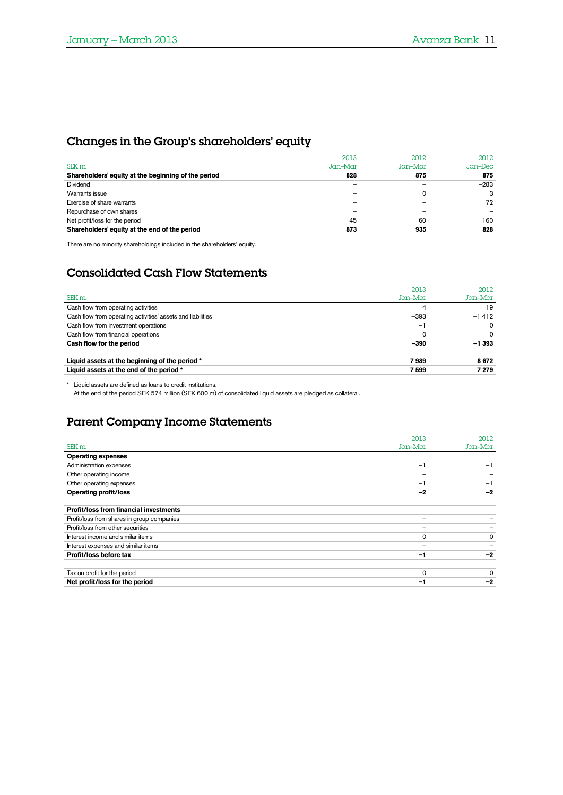# Changes in the Group's shareholders' equity

|                                                     | 2013    | 2012       | 2012    |
|-----------------------------------------------------|---------|------------|---------|
| SEK <sub>m</sub>                                    | Jan-Mar | $Jcm$ -Mar | Jan–Dec |
| Shareholders' equity at the beginning of the period | 828     | 875        | 875     |
| Dividend                                            |         |            | $-283$  |
| Warrants issue                                      |         | 0          |         |
| Exercise of share warrants                          |         |            | 72      |
| Repurchase of own shares                            |         |            |         |
| Net profit/loss for the period                      | 45      | 60         | 160     |
| Shareholders' equity at the end of the period       | 873     | 935        | 828     |

There are no minority shareholdings included in the shareholders' equity.

# Consolidated Cash Flow Statements

|                                                             | 2013         | 2012       |
|-------------------------------------------------------------|--------------|------------|
| SEK <sub>m</sub>                                            | $Jcm-M$ $CT$ | $Jcm$ -Mar |
| Cash flow from operating activities                         |              | 19         |
| Cash flow from operating activities' assets and liabilities | $-393$       | $-1412$    |
| Cash flow from investment operations                        | Ξ.           |            |
| Cash flow from financial operations                         |              | 0          |
| Cash flow for the period                                    | $-390$       | $-1.393$   |
| Liquid assets at the beginning of the period *              | 7989         | 8672       |
| Liquid assets at the end of the period *                    | 7599         | 7 279      |

\* Liquid assets are defined as loans to credit institutions.

At the end of the period SEK 574 million (SEK 600 m) of consolidated liquid assets are pledged as collateral.

# Parent Company Income Statements

|                                               | 2013     | 2012     |
|-----------------------------------------------|----------|----------|
| SEK <sub>m</sub>                              | Jan-Mar  | Jan-Mar  |
| <b>Operating expenses</b>                     |          |          |
| Administration expenses                       | $-1$     | -1       |
| Other operating income                        |          |          |
| Other operating expenses                      | $-1$     | $-1$     |
| <b>Operating profit/loss</b>                  | $-2$     | -2       |
|                                               |          |          |
| <b>Profit/loss from financial investments</b> |          |          |
| Profit/loss from shares in group companies    |          |          |
| Profit/loss from other securities             |          |          |
| Interest income and similar items             | 0        | $\Omega$ |
| Interest expenses and similar items           |          |          |
| Profit/loss before tax                        | -1       | $-2$     |
|                                               |          |          |
| Tax on profit for the period                  | $\Omega$ | $\Omega$ |
| Net profit/loss for the period                | -1       | -2       |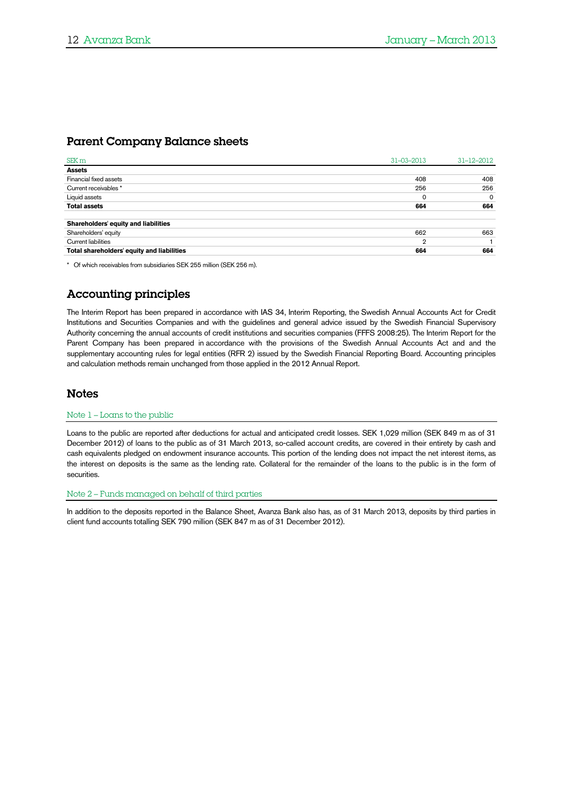# Parent Company Balance sheets

| SEK <sub>m</sub>                           | $31 - 03 - 2013$ | $31 - 12 - 2012$ |
|--------------------------------------------|------------------|------------------|
| <b>Assets</b>                              |                  |                  |
| Financial fixed assets                     | 408              | 408              |
| Current receivables *                      | 256              | 256              |
| Liquid assets                              | 0                | $\circ$          |
| <b>Total assets</b>                        | 664              | 664              |
| Shareholders' equity and liabilities       |                  |                  |
| Shareholders' equity                       | 662              | 663              |
| <b>Current liabilities</b>                 | $\mathbf{2}$     |                  |
| Total shareholders' equity and liabilities | 664              | 664              |
|                                            |                  |                  |

\* Of which receivables from subsidiaries SEK 255 million (SEK 256 m).

# Accounting principles

The Interim Report has been prepared in accordance with IAS 34, Interim Reporting, the Swedish Annual Accounts Act for Credit Institutions and Securities Companies and with the guidelines and general advice issued by the Swedish Financial Supervisory Authority concerning the annual accounts of credit institutions and securities companies (FFFS 2008:25). The Interim Report for the Parent Company has been prepared in accordance with the provisions of the Swedish Annual Accounts Act and and the supplementary accounting rules for legal entities (RFR 2) issued by the Swedish Financial Reporting Board. Accounting principles and calculation methods remain unchanged from those applied in the 2012 Annual Report.

### Notes

#### Note 1 – Loans to the public

Loans to the public are reported after deductions for actual and anticipated credit losses. SEK 1,029 million (SEK 849 m as of 31 December 2012) of loans to the public as of 31 March 2013, so-called account credits, are covered in their entirety by cash and cash equivalents pledged on endowment insurance accounts. This portion of the lending does not impact the net interest items, as the interest on deposits is the same as the lending rate. Collateral for the remainder of the loans to the public is in the form of securities.

#### Note 2 – Funds managed on behalf of third parties

In addition to the deposits reported in the Balance Sheet, Avanza Bank also has, as of 31 March 2013, deposits by third parties in client fund accounts totalling SEK 790 million (SEK 847 m as of 31 December 2012).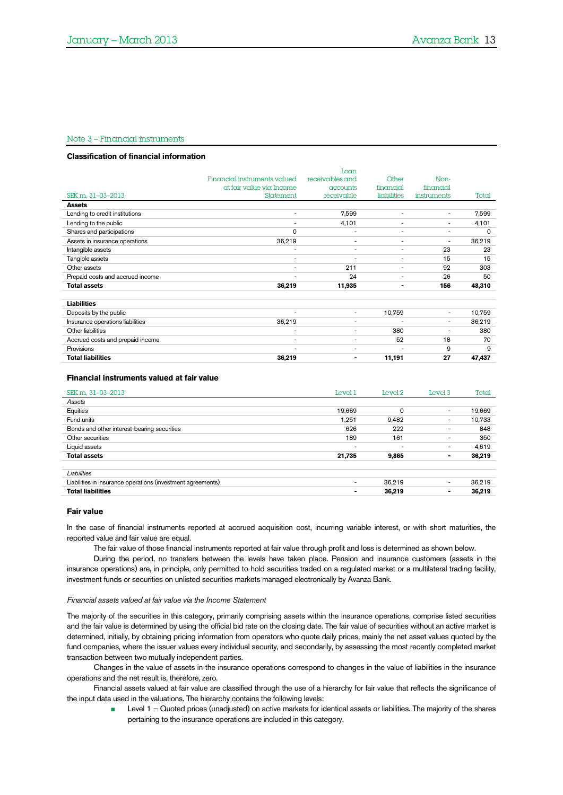#### Note 3 – Financial instruments

#### **Classification of financial information**

|                                  |                              | Loan                         |                          |                          |        |
|----------------------------------|------------------------------|------------------------------|--------------------------|--------------------------|--------|
|                                  | Financial instruments valued | receivables and              | Other                    | Non-                     |        |
|                                  | at fair value via Income     | accounts                     | financial                | financial                |        |
| SEK m, 31-03-2013                | Statement                    | receivable                   | liabilities              | instruments              | Total  |
| <b>Assets</b>                    |                              |                              |                          |                          |        |
| Lending to credit institutions   | $\overline{\phantom{0}}$     | 7,599                        | $\overline{\phantom{a}}$ | $\overline{\phantom{a}}$ | 7,599  |
| Lending to the public            | $\overline{\phantom{0}}$     | 4,101                        | $\overline{\phantom{a}}$ | $\overline{\phantom{a}}$ | 4,101  |
| Shares and participations        | $\Omega$                     | $\overline{\phantom{a}}$     | $\overline{\phantom{a}}$ | $\overline{\phantom{a}}$ | 0      |
| Assets in insurance operations   | 36,219                       | $\overline{\phantom{a}}$     | $\overline{\phantom{a}}$ | $\overline{\phantom{a}}$ | 36,219 |
| Intangible assets                | $\overline{a}$               | $\overline{\phantom{a}}$     | $\overline{\phantom{a}}$ | 23                       | 23     |
| Tangible assets                  | $\overline{\phantom{a}}$     | $\overline{\phantom{a}}$     | $\overline{\phantom{a}}$ | 15                       | 15     |
| Other assets                     | $\overline{\phantom{a}}$     | 211                          | $\overline{\phantom{a}}$ | 92                       | 303    |
| Prepaid costs and accrued income | $\overline{a}$               | 24                           | $\overline{\phantom{a}}$ | 26                       | 50     |
| <b>Total assets</b>              | 36,219                       | 11,935                       | $\blacksquare$           | 156                      | 48,310 |
|                                  |                              |                              |                          |                          |        |
| <b>Liabilities</b>               |                              |                              |                          |                          |        |
| Deposits by the public           |                              | $\overline{\phantom{a}}$     | 10,759                   | $\overline{\phantom{a}}$ | 10,759 |
| Insurance operations liabilities | 36,219                       | $\overline{\phantom{a}}$     | $\overline{\phantom{a}}$ | $\overline{\phantom{a}}$ | 36,219 |
| Other liabilities                | $\overline{\phantom{a}}$     | $\qquad \qquad \blacksquare$ | 380                      | $\overline{\phantom{a}}$ | 380    |
| Accrued costs and prepaid income | $\overline{\phantom{a}}$     | $\overline{\phantom{a}}$     | 52                       | 18                       | 70     |
| Provisions                       | $\overline{\phantom{0}}$     | $\overline{\phantom{a}}$     | $\overline{\phantom{a}}$ | 9                        | 9      |
| <b>Total liabilities</b>         | 36,219                       | $\blacksquare$               | 11,191                   | 27                       | 47,437 |

#### **Financial instruments valued at fair value**

| SEK m, 31-03-2013                                           | Level 1                  | Level 2                  | Level 3                  | Total  |
|-------------------------------------------------------------|--------------------------|--------------------------|--------------------------|--------|
| Assets                                                      |                          |                          |                          |        |
| Equities                                                    | 19,669                   | 0                        | $\overline{\phantom{a}}$ | 19,669 |
| Fund units                                                  | 1,251                    | 9,482                    | $\overline{\phantom{0}}$ | 10,733 |
| Bonds and other interest-bearing securities                 | 626                      | 222                      |                          | 848    |
| Other securities                                            | 189                      | 161                      |                          | 350    |
| Liquid assets                                               | $\overline{\phantom{a}}$ | $\overline{\phantom{0}}$ | $\overline{\phantom{0}}$ | 4,619  |
| <b>Total assets</b>                                         | 21,735                   | 9,865                    | ٠                        | 36,219 |
| Liabilities                                                 |                          |                          |                          |        |
| Liabilities in insurance operations (investment agreements) | $\overline{\phantom{a}}$ | 36.219                   | $\overline{\phantom{0}}$ | 36,219 |
| <b>Total liabilities</b>                                    | $\blacksquare$           | 36,219                   | $\overline{\phantom{0}}$ | 36,219 |

#### **Fair value**

In the case of financial instruments reported at accrued acquisition cost, incurring variable interest, or with short maturities, the reported value and fair value are equal.

The fair value of those financial instruments reported at fair value through profit and loss is determined as shown below.

During the period, no transfers between the levels have taken place. Pension and insurance customers (assets in the insurance operations) are, in principle, only permitted to hold securities traded on a regulated market or a multilateral trading facility, investment funds or securities on unlisted securities markets managed electronically by Avanza Bank.

#### *Financial assets valued at fair value via the Income Statement*

The majority of the securities in this category, primarily comprising assets within the insurance operations, comprise listed securities and the fair value is determined by using the official bid rate on the closing date. The fair value of securities without an active market is determined, initially, by obtaining pricing information from operators who quote daily prices, mainly the net asset values quoted by the fund companies, where the issuer values every individual security, and secondarily, by assessing the most recently completed market transaction between two mutually independent parties.

Changes in the value of assets in the insurance operations correspond to changes in the value of liabilities in the insurance operations and the net result is, therefore, zero.

Financial assets valued at fair value are classified through the use of a hierarchy for fair value that reflects the significance of the input data used in the valuations. The hierarchy contains the following levels:

Level 1 – Quoted prices (unadjusted) on active markets for identical assets or liabilities. The majority of the shares pertaining to the insurance operations are included in this category.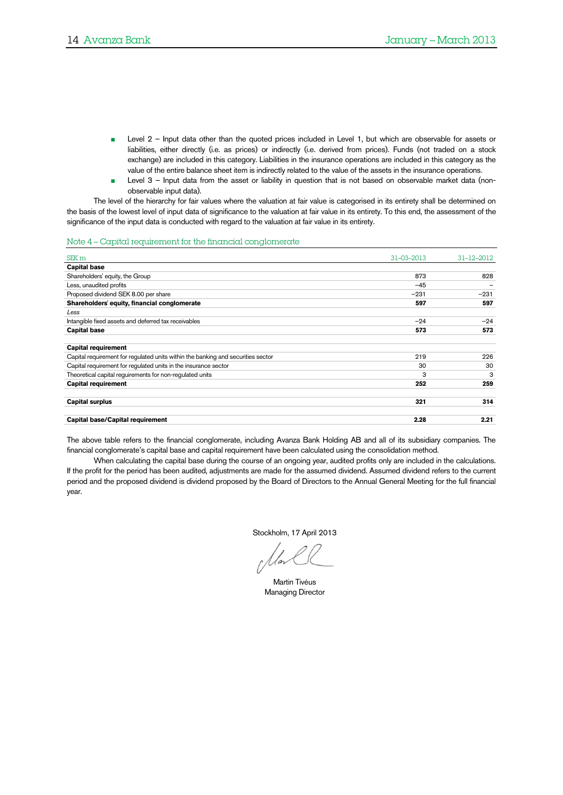- Level 2 Input data other than the quoted prices included in Level 1, but which are observable for assets or liabilities, either directly (i.e. as prices) or indirectly (i.e. derived from prices). Funds (not traded on a stock exchange) are included in this category. Liabilities in the insurance operations are included in this category as the value of the entire balance sheet item is indirectly related to the value of the assets in the insurance operations.
- Level 3 Input data from the asset or liability in question that is not based on observable market data (nonobservable input data).

The level of the hierarchy for fair values where the valuation at fair value is categorised in its entirety shall be determined on the basis of the lowest level of input data of significance to the valuation at fair value in its entirety. To this end, the assessment of the significance of the input data is conducted with regard to the valuation at fair value in its entirety.

#### <span id="page-13-0"></span>Note 4 – Capital requirement for the financial conglomerate

| SEK <sub>m</sub>                                                                 | $31 - 03 - 2013$ | $31 - 12 - 2012$ |
|----------------------------------------------------------------------------------|------------------|------------------|
| <b>Capital base</b>                                                              |                  |                  |
| Shareholders' equity, the Group                                                  | 873              | 828              |
| Less, unaudited profits                                                          | $-45$            |                  |
| Proposed dividend SEK 8.00 per share                                             | $-231$           | $-231$           |
| Shareholders' equity, financial conglomerate                                     | 597              | 597              |
| Less                                                                             |                  |                  |
| Intangible fixed assets and deferred tax receivables                             | $-24$            | $-24$            |
| <b>Capital base</b>                                                              | 573              | 573              |
| <b>Capital requirement</b>                                                       |                  |                  |
| Capital requirement for regulated units within the banking and securities sector | 219              | 226              |
| Capital requirement for requlated units in the insurance sector                  | 30               | 30               |
| Theoretical capital requirements for non-requlated units                         | 3                | 3                |
| <b>Capital requirement</b>                                                       | 252              | 259              |
| <b>Capital surplus</b>                                                           | 321              | 314              |
| Capital base/Capital requirement                                                 | 2.28             | 2.21             |

The above table refers to the financial conglomerate, including Avanza Bank Holding AB and all of its subsidiary companies. The financial conglomerate's capital base and capital requirement have been calculated using the consolidation method.

When calculating the capital base during the course of an ongoing year, audited profits only are included in the calculations. If the profit for the period has been audited, adjustments are made for the assumed dividend. Assumed dividend refers to the current period and the proposed dividend is dividend proposed by the Board of Directors to the Annual General Meeting for the full financial year.

Stockholm, 17 April 2013

Martin Tivéus Managing Director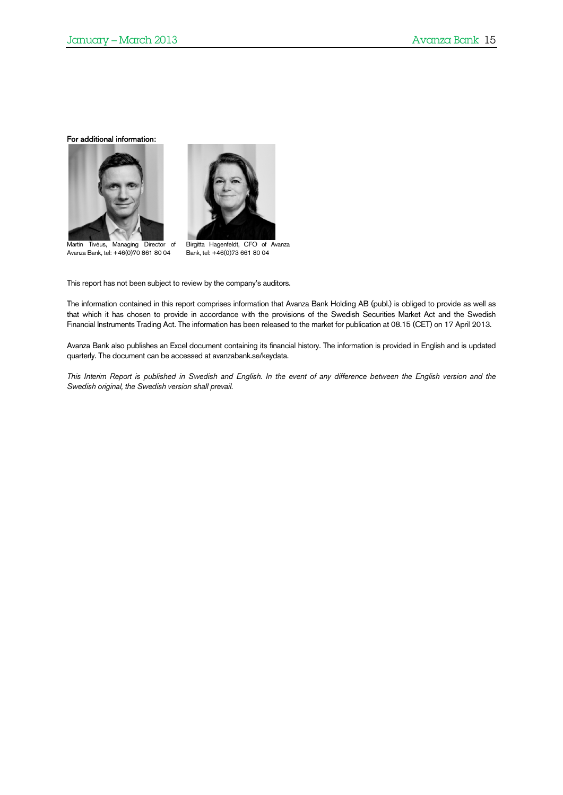For additional information:



 Martin Tivéus, Managing Director of Avanza Bank, tel: +46(0)70 861 80 04



Birgitta Hagenfeldt, CFO of Avanza Bank, tel: +46(0)73 661 80 04

This report has not been subject to review by the company's auditors.

The information contained in this report comprises information that Avanza Bank Holding AB (publ.) is obliged to provide as well as that which it has chosen to provide in accordance with the provisions of the Swedish Securities Market Act and the Swedish Financial Instruments Trading Act. The information has been released to the market for publication at 08.15 (CET) on 17 April 2013.

Avanza Bank also publishes an Excel document containing its financial history. The information is provided in English and is updated quarterly. The document can be accessed at avanzabank.se/keydata.

*This Interim Report is published in Swedish and English. In the event of any difference between the English version and the Swedish original, the Swedish version shall prevail.*